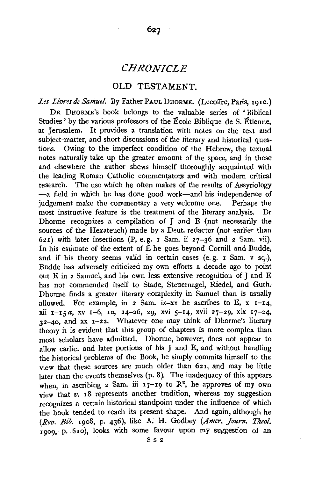# *CHRONICLE*

627

### OLD TESTAMENT.

*Les Livresde Samuel.* By Father PAULDHORME. (Lecoffre, Paris, 1910.) DR DHORME's book belongs to the valuable series of 'Biblical Studies ' by the various professors of the Ecole Biblique de S. Etienne, at Jerusalem. It provides a translation with notes on the text and subject-matter, and short discussions of the literary and historical questions. Owing to the imperfect condition of the Hebrew, the textual notes naturally take up the greater amount of the space, and in these and elsewhere the author shews himself thoroughly acquainted with the leading Roman Catholic commentators and with modern critical research. The use which he often makes of the results of Assyriology --a field in which he has done good work-and his independence of judgement make the commentary a very welcome one. Perhaps the judgement make the commentary a very welcome one. most instructive feature is the treatment of the literary analysis. Dr Dhorme recognizes a compilation of J and E (not necessarily the sources of the Hexateuch) made by a Deut. redactor (not earlier than 621) with later insertions (P, e.g. 1 Sam. ii 27-36 and 2 Sam. vii). In his estimate of the extent of E he goes beyond Cornill and Budde, and if his theory seems valid in certain cases (e. g. r Sam. v sq.), Budde has adversely criticized my own efforts a decade ago to point out E in 2 Samuel, and his own less extensive recognition of J and E has not commended itself to Stade, Steuernagel, Riedel, and Guth. Dhorme finds a greater literary complexity in Samuel than is usually allowed. For example, in  $2 \text{ Sam. } ix-xx$  he ascribes to E,  $x \rightarrow 14$ , xii 1-15 *a*, xv 1-6, 10, 24-26, 29, xvi 5-14, xvii 27-29, xix 17-24, 32-40, and xx 1-22. Whatever one may think of Dhorme's literary theory it is evident that this group of chapters is more complex than most scholars have admitted. Dhorme, however, does not appear to allow earlier and later portions of his J and E, and without handling the historical problems of the Book, he simply commits himself to the view that these sources are much older than 621, and may be little later than the events themselves (p. 8). The inadequacy of this appears when, in ascribing 2 Sam. iii 17-19 to  $\mathbb{R}^n$ , he approves of my own view that *v.* 18 represents another tradition, whereas my suggestion recognizes a certain historical standpoint under the influence of which the book tended to reach its present shape. And again, although he *(Rev. Bib.* 1908, p. 436), like A. H. Godbey *(Amer. Journ. Theo!.*  1909, p. 610), looks with some favour upon my suggestion of an

s s 2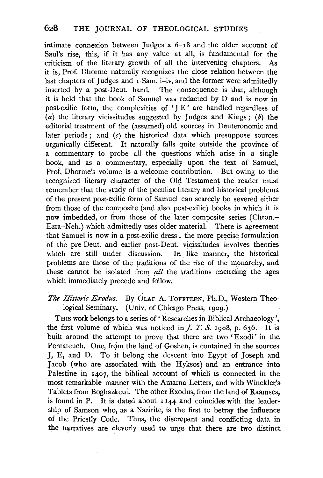intimate connexion between Judges x 6-18 and the older account of Saul's rise, this, if it has any value at all, is fundamental for the criticism of the literary growth of all the intervening chapters. As it is, Prof. Dhorme naturally recognizes the close relation between the last chapters of Judges and  $\overline{1}$  Sam. i-iv, and the former were admittedly inserted by a post-Deut. hand. The consequence is that, although it is held that the book of Samuel was redacted by D and is now in post-exilic form, the complexities of 'J E' are handled regardless of  $(a)$  the literary vicissitudes suggested by Judges and Kings;  $(b)$  the editorial treatment of the (assumed) old sources in Deuteronomic and later periods; and  $(c)$  the historical data which presuppose sources organically different. It naturally falls quite outside the province of a commentary to probe all the questions which arise in a single book, and as a commentary, especially upon the text of Samuel, Prof. Dhorme's volume is a welcome contribution. But owing to the recognized literary character of the Old Testament the reader must remember that the study of the peculiar literary and historical problems. of the present post-exilic form of Samuel can scarcely be severed either from those of the composite (and also post-exilic) books in which it is now imbedded, or from those of the later composite series (Chron.- Ezra-Neh.) which admittedly uses older material. There is agreement that Samuel is now in a post-exilic dress; the more precise formulation of the pre-Deut. and earlier post-Deut. vicissitudes involves theories which are still under discussion. In like manner, the historical which are still under discussion. problems are those of the traditions of the rise of the monarchy, and these cannot be isolated from *all* the traditions encircling the ages which immediately precede and follow;

## The Historic Exodus. By OLAF A. TOFFTEEN, Ph.D., Western Theological Seminary. (Univ. of Chicago Press, 1909.)

THIS work belongs to a series of 'Researches in Biblical Archaeology', the first volume of which was noticed in  $\Gamma$ .  $\Gamma$ .  $\Gamma$ .  $\Gamma$ ,  $\Gamma$ ,  $\Gamma$ ,  $\Gamma$  is built around the attempt to prove that there are two 'Exodi' in the Pentateuch. One, from the land of Goshen, is contained in the sources J, E, and D. To it belong the descent into Egypt of Joseph and Jacob (who are associated with the Hyksos) and an entrance into Palestine in 1407, the biblical account of which is connected in the most remarkable manner with the Amarna Letters, and with Winckler's Tablets from Boghazkeui. The other Exodus, from the land of Raamses, is found in P. It is dated about  $1144$  and coincides with the leadership of Samson who, as a Nazirite, is the first to betray the influence of the Priestly Code. Thus, the discrepant and conflicting data in the narratives are cleverly used to urge that there are two distinct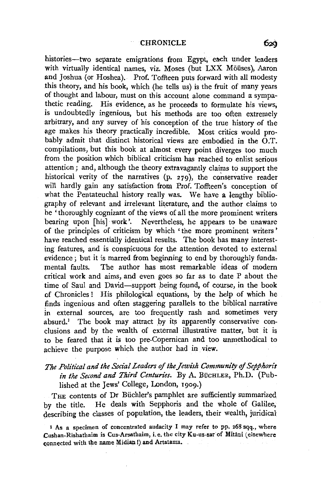histories-two separate emigrations from Egypt, each under leaders with virtually identical names, viz. Moses (but LXX Möüses), Aaron and Joshua (or Hoshea). Prof. Toffteen puts forward with all modesty this theory, and his book, which (he tells us) is the fruit of many years of thought and labour, must on this account alone command a sympathetic reading. His evidence, as he proceeds to formulate his views, is undoubtedly ingenious, but his methods are too often extremely arbitrary, and any survey of his conception of the true history of the age makes his theory practically incredible. Most critics would probably admit that distinct historical views are embodied in the O.T. compilations, but this book at almost every point diverges too much from the position which biblical criticism has reached to enlist serious attention; and, although the theory extravagantly claims to support the historical verity of the narratives (p. 279), the conservative reader will hardly gain any satisfaction from Prof. Toffteen's conception of what the Pentateuchal history really was. We have a lengthy bibliography of relevant and irrelevant literature, and the author claims to be 'thoroughly cognizant of the views of all the more prominent writers bearing upon [his] work'. Nevertheless, he appears to be unaware of the principles of criticism by which ' the more prominent writers ' have reached essentially identical results. The book has many interesting features, and is conspicuous for the attention devoted to external evidence; but it is marred from beginning to end by thoroughly fundamental faults. The author has most remarkable ideas of modern critical work and aims, and even goes so far as to date P about the time of Saul and David-support being found, of course, in the book of Chronicles ! His philological equations, by the help of which he finds ingenious and often staggering parallels to the biblical narrative in external sources, are too frequently rash and sometimes very absurd.<sup>1</sup> The book may attract by its apparently conservative conclusions and by the wealth of external illustrative matter, but it is to be feared that it is too pre-Copernican and too unmethodical to achieve the purpose which the author had in view.

### *The Political and the Social Leaders* of *the Jewish Community* of *Sepphoris*  in the Second and Third Centuries. By A. BUCHLER, Ph.D. (Published at the Jews' College, London, 1909.)

THE contents of Dr Büchler's pamphlet are sufficiently summarized by the title. He deals with Sepphoris and the whole of Galilee, describing the classes of population, the leaders, their wealth, juridical

<sup>&</sup>lt;sup>1</sup> As a specimen of concentrated audacity I may refer to pp. 268 sqq., where Cushan-Rishathaim is Cus-Arsathaim, i.e. the city Ku-us-sar of Mitani (elsewhere connected with the name Midian !) and Artatama.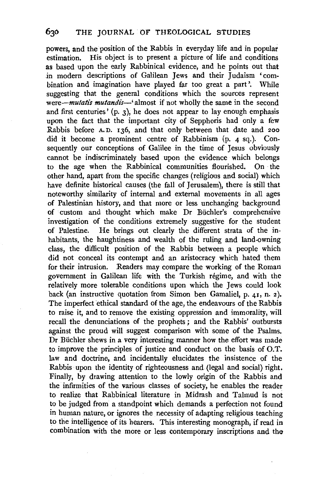powers, and the position of the Rabbis in everyday life and in popular estimation. His object is to present a picture of life and conditions as based upon the early Rabbinical evidence, and he points out that in modern descriptions of Galilean Jews and their Judaism 'combination and imagination have played far too great a part '. While suggesting that the general conditions which the sources represent were-*mutatis mutandis*-' almost if not wholly the same in the second and first centuries' (p. 3), he does not appear to lay enough emphasis upon the fact that the important city of Sepphoris had only a few Rabbis before A.D. 136, and that only between that date and 200 did it become a prominent centre of Rabbinism (p. 4 sq.). Consequently our conceptions of Galilee in the time of Tesus obviously cannot be indiscriminately based upon the evidence which belongs to the age when the Rabbinical communities flourished. On the other hand, apart from the specific changes (religious and social) which have definite historical causes (the fall of Jerusalem), there is still that noteworthy similarity of internal and external movements in all ages of Palestinian history, and that more or less unchanging background of custom and thought which make Dr Biichler's comprehensive investigation of the conditions extremely suggestive for the student of Palestine. He brings out clearly the different strata of the inhabitants, the haughtiness and wealth of the ruling and land-owning class, the difficult position of the Rabbis between a people which did not conceal its contempt and an aristocracy which hated them for their intrusion. Readers may compare the working of the Roman government in Galilean life with the Turkish regime, and with the relatively more tolerable conditions upon which the Jews could look back (an instructive quotation from Simon hen Gamaliel, p. 41, n. 2). The imperfect ethical standard of the age, the endeavours of the Rabbis to raise it, and to remove the existing oppression and immorality, will recall the denunciations of the prophets ; and the Rabbis' outbursts against the proud will suggest comparison with some of the Psalms. Dr Buchler shews in a very interesting manner how the effort was made to improve the principles of justice and conduct on the basis of 0.T. law and doctrine, and incidentally elucidates the insistence of the Rabbis upon the identity of righteousness and (legal and social) right. Finally, by drawing attention to the lowly origin of the Rabbis and the infirmities of the various classes of society, he enables the reader to realize that Rabbinical literature in Midrash and Talmud is not to be judged from a standpoint which demands a perfection not found in human nature, or ignores the necessity of adapting religious teaching to the intelligence of its hearers. This interesting monograph, if read in combination with the more or less contemporary inscriptions and the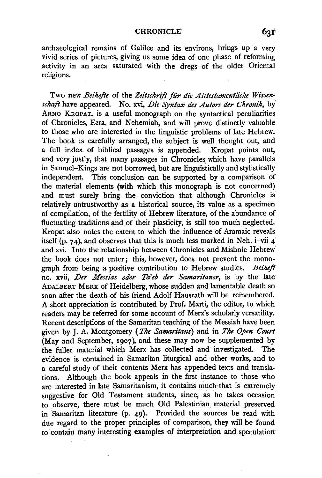archaeological remains of Galilee and its environs, brings up a very vivid series of pictures, giving us some idea of one phase of reforming activity in an area saturated with the dregs of the older Oriental religions.

Two new *Beihefte* of the Zeitschrift für die Alttestamentliche Wissen*schaft* have appeared. No. xvi, *Die Syntax des Autors der Chronik,* by' ARNO KROPAT, is a useful monograph on the syntactical peculiarities of Chronicles, Ezra, and Nehemiah, and will prove distinctly valuable to those who are interested in the linguistic problems of late Hebrew. The book is carefully arranged, the subject is well thought out, and a full index of biblical passages is appended. Kropat points out, and very justly, that many passages in Chronicles which have parallels in Samuel-Kings are not borrowed, but are linguistically and stylistically independent. This conclusion can be supported by a comparison of the material elements (with which this monograph is not concerned) and must surely bring the conviction that although Chronicles is relatively untrustworthy as a historical source, its value as a specimen of compilation, of the fertility of Hebrew literature, of the abundance of fluctuating traditions and of their plasticity, is still too much neglected. Kropat also notes the extent to which the influence of Aramaic reveals itself (p. 74), and observes that this is much less marked in Neh.  $i$ -vii 4 and xvi. Into the relationship between Chronicles and Mishnic Hebrew the book does not enter; this, however, does not prevent the monograph from being a positive contribution to Hebrew studies. *Beiheft*  no. xvii, *Der Messias oder Ta'eb der Samaritaner*, is by the late ADALBERT MERX of Heidelberg, whose sudden and lamentable death so soon after the death of his friend Adolf Hausrath will be remembered. A short appreciation is contributed by Prof. Marti, the editor, to which readers may be referred for some account of Merx's scholarly versatility. Recent descriptions of the Samaritan teaching of the Messiah have been given by J. A. Montgomery *(The Samaritans)* and in *The Open Court*  (May and September, 1907), and these may now be supplemented by the fuller material which Merx has collected and investigated. The evidence is contained in Samaritan liturgical and other works, and to a careful study of their contents Merx has appended texts and translations. Although the book appeals in the first instance to those who are interested in late Samaritanism, it contains much that is extremely suggestive for Old Testament students, since, as he takes occasion to observe, there must be much Old Palestinian. material preserved in Samaritan literature (p. 49). Provided the sources be read with due regard to the proper principles of comparison, they will be found to contain many interesting examples of interpretation and speculation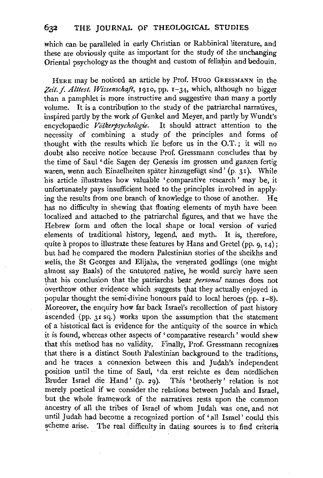which can be paralleled in early Christian or Rabbinical literature, and these are obviously quite as important for the study of the unchanging Oriental psychology as the thought and custom of fellahin and bedouin.

HERE may be noticed an article by Prof. HuGo GRESSMANN in the Zeit. f. Alttest. Wissenschaft, 1910, pp. 1-34, which, although no bigger than a pamphlet is more instructive and suggestive than many a portly volume. It is a contribution to the study of the patriarchal narratives. inspired partly by the work of Gunkel and Meyer, and partly by Wundt's<br>encyclopaedic Völkerpsychologie. It should attract attention to the It should attract attention to the necessity of combining a study of the principles and forms of thought with the results which lie before us in the O.T.; it will no doubt also receive notice because Prof. Gressmann concludes that by the time of Saul ' die Sagen der Genesis im grossen und ganzen fertig waren, wenn auch Einzelheiten später hinzugefügt sind ' (p. 31). While his article illustrates how valuable 'comparative research' may be, it unfortunately pays insufficient heed to the principles involved in applying the results from one branch of knowledge to those of another. He has no difficulty in shewing that floating elements of myth have been localized and attached to the patriarchal figures, and that we have the Hebrew form and often the local shape or local version of varied elements of traditional history, legend, and myth. It is, therefore, quite à propos to illustrate these features by Hans and Gretel (pp.  $q, 14$ ); but had he compared the modern Palestinian stories of the sheikhs and welis, the St Georges and Elijahs, the venerated godlings (one might almost say Baals) of the untutored native, he would surely have seen that his conclusion that the patriarchs bear *personal* names does not overthrow other evidence which suggests that they actually enjoyed in popular thought the semi-divine honours paid to local heroes (pp.  $r-8$ ). Moreover, the enquiry how far back Israel's recollection of past history ascended (pp. 31 sq.) works upon the assumption that the statement of a historical fact is evidence for the antiquity of the source in which it is found, whereas other aspects of 'comparative research' would shew that this method has no validity. Finally, Prof. Gressmann recognizes that there is a distinct South Palestinian background to the traditions, and he traces a connexion between this and Judah's independent position until the time of Saul, 'da erst reichte es dem nördlichen Bruder Israel die Hand' (p. 29). This 'brotherly' relation is not merely poetical if we consider the relations between Judah and Israel, but the whole framework of the narratives rests upon the common ancestry of all the tribes of Israel of whom Judah was one, and not until Judah had become a recognized portion of 'all Israel' could this scheme arise. The real difficulty in dating sources is to find criteria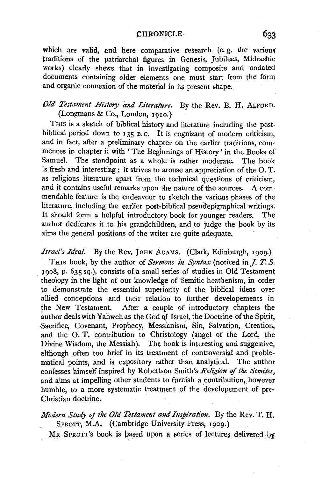#### **CHRONICLE**

which are valid, and here comparative research (e.g. the various traditions of the patriarchal figures in Genesis, Jubilees, Midrashic works) clearly shews that in investigating composite and undated documents containing older elements one must start from the form and organic connexion of the material in its present shape.

### *Old Testament History and Literature.* By the Rev. B. H. ALFORD. (Longmans & Co., London, i910.)

THIS is a sketch of biblical history and literature including the postbiblical period down to  $135$  B.C. It is cognizant of modern criticism, and in fact, after a preliminary chapter on the earlier traditions, commences in chapter ii with 'The Beginnings of History' in the Books of Samuel. The standpoint as a whole is rather moderate. The book is fresh and interesting; it strives to arouse an appreciation of the 0. T. as religious literature apart from the technical questions of criticism, and it contains useful remarks upon the nature of the sources. A commendable feature is the endeavour to sketch the various phases of the literature, including the earlier post·biblical pseudepigraphical writings. It should form a helpful introductory book for younger readers. The author dedicates it to his grandchildren, and to judge the book by its aims the general positions of the writer are quite adequate.

*Israel's Ideal.* By the Rev. JOHN ADAMS. (Clark, Edinburgh, 1909.) THis book, by the author of *Sermons in Syntax* (noticed in *J. T. S,*  ~908, p. 635 sq.), consists of a small series of studies in Old Testament theology in the light of our knowledge of Semitic heathenism, in order to demonstrate the essential superiority of the biblical ideas over allied conceptions and their relation to further developements in the New Testament. After a couple of introductory chapters the author deals with Yahweh as the God of Israel, the Doctrine of the Spirit, Sacrifice, Covenant, Prophecy, Messianism, Sin, Salvation, Creation, and the O. T. contribution to Christology (angel of the Lord, the Divine Wisdom, the Messiah). The book is interesting and suggestive, although often too brief in its treatment of controversial and problematical points, and is expository rather than analytical. The author confesses himself inspired by Robertson Smith's *Religion* of *the Semites,*  and aims at impelling other students to furnish a contribution, however humble, to a more systematic treatment of the developement of pre-Christian doctrine.

## *Modern Study of the Old Testament and Inspiration.* By the Rev. T. H. SPROTT, M.A. (Cambridge University Press, 1909.)

MR SPROTT's book is based upon a series of lectures delivered by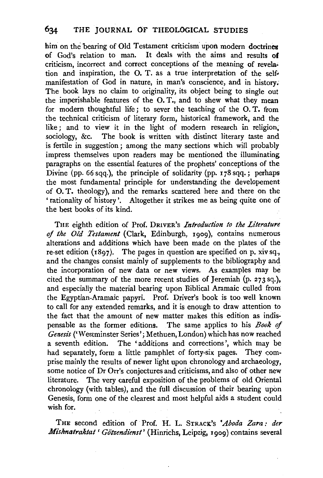him on the bearing of Old Testament criticism upon modern doctrines of God's relation to man. It deals with the aims and results of criticism, incorrect and correct conceptions of the meaning of revela• tion and inspiration, the O. T. as a true interpretation of the selfmanifestation of God in nature, in man's conscience, and in history. The book lays no claim to originality, its object being to single out the imperishable features of the 0. T., and to shew what they mean for modern thoughtful life; to sever the teaching of the 0. T. from the technical criticism of literary form, historical framework, and the like ; and to view it in the light of modern research in religion, sociology, &c. The book is written with distinct literary taste and is fertile in suggestion ; among the many sections which will probably impress themselves upon readers may be mentioned the illuminating paragraphs on the essential features of the prophets' conceptions of the Divine (pp. 66 sqq.), the principle of solidarity (pp.  $178$  sqq.; perhaps the most fundamental principle for understanding the developement of 0. T. theology), and the remarks scattered here and there on the ' rationality of history '. Altogether it strikes me as being quite one of the best books of its kind.

THE eighth edition of Prof. DRIVER's *Introduction to the Literature of the Old Testament* (Clark, Edinburgh, 1909), contains numerous alterations and additions which have been made on the plates of the re-set edition (1897). The pages in question are specified on p. xiv sq., and the changes consist mainly of supplements to the bibliography and the incorporation of new data or new views. As examples may be cited the summary of the more recent studies of Jeremiah (p. 273 sq.), and especially the material bearing upon Biblical Aramaic culled from the Egyptian-Aramaic papyri. Prof. Driver's book is too well known to call for any extended remarks, and it is enough to draw attention to the fact that the amount of new matter makes this edition as indispensable as the former editions. The same applies to his *Book* ef *Genesis* ('Westminster Series'; Methuen, London) which has now reached a seventh edition. The 'additions and corrections', which may be had separately, form a little pamphlet of forty-six pages. They comprise mainly the results of newer light upon chronology and archaeology, some notice of Dr Orr's conjectures and criticisms, and also of other new literature. The very careful exposition 0f the problems of old Oriental chronology (with tables), and the full discussion of their bearing upon Genesis, form one of the clearest and most helpful aids a student could wish for.

THE second edition of Prof. H. L. STRACK's *'Aboda Zara : der Misknatraktal 'Go'tzendienst'* (Hinrichs, Leipzig, 1909) contains several